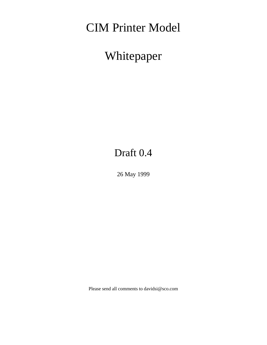# CIM Printer Model

# Whitepaper

# Draft 0.4

26 May 1999

Please send all comments to davidsi@sco.com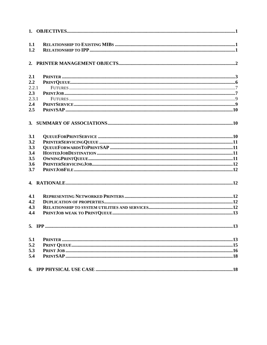| 1.1<br>1.2 |                                                                                                                                                                                                                                                                                                                                                                                             |  |
|------------|---------------------------------------------------------------------------------------------------------------------------------------------------------------------------------------------------------------------------------------------------------------------------------------------------------------------------------------------------------------------------------------------|--|
|            |                                                                                                                                                                                                                                                                                                                                                                                             |  |
|            |                                                                                                                                                                                                                                                                                                                                                                                             |  |
| 2.1        |                                                                                                                                                                                                                                                                                                                                                                                             |  |
| 2.2        |                                                                                                                                                                                                                                                                                                                                                                                             |  |
| 2.2.1      |                                                                                                                                                                                                                                                                                                                                                                                             |  |
| 2.3        |                                                                                                                                                                                                                                                                                                                                                                                             |  |
| 2.3.1      |                                                                                                                                                                                                                                                                                                                                                                                             |  |
| 2.4        |                                                                                                                                                                                                                                                                                                                                                                                             |  |
| 2.5        |                                                                                                                                                                                                                                                                                                                                                                                             |  |
|            |                                                                                                                                                                                                                                                                                                                                                                                             |  |
| 3.1        |                                                                                                                                                                                                                                                                                                                                                                                             |  |
| 3.2        |                                                                                                                                                                                                                                                                                                                                                                                             |  |
| 3.3        |                                                                                                                                                                                                                                                                                                                                                                                             |  |
| 3.4        |                                                                                                                                                                                                                                                                                                                                                                                             |  |
| 3.5        | $\label{eq:11} \textbf{OWNINGPRINTQUEUE} \textbf{} \textbf{} \textbf{} \textbf{} \textbf{} \textbf{} \textbf{} \textbf{} \textbf{} \textbf{} \textbf{} \textbf{} \textbf{} \textbf{} \textbf{} \textbf{} \textbf{} \textbf{} \textbf{} \textbf{} \textbf{} \textbf{} \textbf{} \textbf{} \textbf{} \textbf{} \textbf{} \textbf{} \textbf{} \textbf{} \textbf{} \textbf{} \textbf{} \textbf$ |  |
| 3.6        |                                                                                                                                                                                                                                                                                                                                                                                             |  |
| 3.7        |                                                                                                                                                                                                                                                                                                                                                                                             |  |
|            |                                                                                                                                                                                                                                                                                                                                                                                             |  |
| 4.1        |                                                                                                                                                                                                                                                                                                                                                                                             |  |
| 4.2        |                                                                                                                                                                                                                                                                                                                                                                                             |  |
| 4.3        |                                                                                                                                                                                                                                                                                                                                                                                             |  |
| 4.4        |                                                                                                                                                                                                                                                                                                                                                                                             |  |
|            |                                                                                                                                                                                                                                                                                                                                                                                             |  |
| 5.1        |                                                                                                                                                                                                                                                                                                                                                                                             |  |
| 5.2        |                                                                                                                                                                                                                                                                                                                                                                                             |  |
| 5.3        |                                                                                                                                                                                                                                                                                                                                                                                             |  |
| 5.4        |                                                                                                                                                                                                                                                                                                                                                                                             |  |
|            |                                                                                                                                                                                                                                                                                                                                                                                             |  |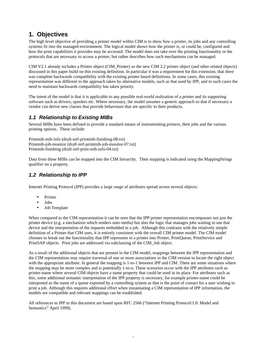# **1. Objectives**

The high level objective of providing a printer model within CIM is to show how a printer, its jobs and any controlling systems fit into the managed environment. The logical model shows how the printer is, or could be, configured and how the print capabilities it provides may be accessed. The model does not take over the printing functionality or the protocols that are necessary to access a printer, but rather describes how such mechanisms can be managed.

CIM V2.1 already includes a Printer object (CIM\_Printer) so the new CIM 2.2 printer object (and other related objects) discussed in this paper build on this existing definition. In particular it was a requirement for this extension, that there was complete backwards compatibility with the existing printer based definitions. In some cases, this existing representation was different to the approach taken by alternative models, such as that used by IPP, and in such cases the need to maintain backwards compatibility has taken priority.

The intent of the model is that it is applicable to any possible real-world realisation of a printer and its supporting software such as drivers, spoolers etc. Where necessary, the model assumes a generic approach so that if necessary a vendor can derive new classes that provide behaviours that are specific to their products.

## *1.1 Relationship to Existing MIBs*

Several MIBs have been defined to provide a standard means of instrumenting printers, their jobs and the various printing options. These include:

Printmib-mib-info (draft-ietf-printmib-finishing-08.txt) Printmib-job-monitor (draft-ietf-printmib-job-monitor-07.txt) Printmib-finishing (draft-ietf-print-mib-info-04.txt)

Data from these MIBs can be mapped into the CIM hierarchy. Their mapping is indicated using the MappingStrings qualifier on a property.

## *1.2 Relationship to IPP*

Internet Printing Protocol (IPP) provides a large range of attributes spread across several objects:

- Printer
- Jobs
- Job Template

When compared to the CIM representation it can be seen that the IPP printer representation encompasses not just the printer device (e.g. a mechanism which renders onto media) but also the logic that manages jobs waiting to use that device and the interpretation of the requests embedded in a job. Although this contrasts with the relatively simple definition of a Printer that CIM uses, it is entirely consistent with the overall CIM printer model. The CIM model chooses to break out the functionality that IPP represents in a printer into Printer, PrintQueue, PrintService and PrintSAP objects. Print jobs are addressed via subclassing of the CIM\_Job object.

As a result of the additional objects that are present in the CIM model, mappings between the IPP representation and the CIM representation may require traversal of one or more associations in the CIM version to locate the right object with the appropriate attribute. In general the mapping is 1-to-1 between IPP and CIM. There are some situations where the mapping may be more complex and is potentially 1-to-n. These scenarios occur with the IPP attributes such as printer-name where several CIM objects have a name property that could be used in its place. For attributes such as this, some additional semantic interpretation of the IPP property is necessary, for example printer-name could be interpreted as the name of a queue exported by a controlling system as that is the point of contact for a user wishing to print a job. Although this requires additional effort when instantiating a CIM representation of IPP information, the models are compatible and relevant mappings can be established.

All references to IPP in this document are based upon RFC 2566 ("Internet Printing Protocol/1.0: Model and Semantics" April 1999).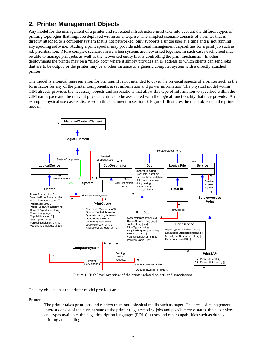# **2. Printer Management Objects**

Any model for the management of a printer and its related infrastructure must take into account the different types of printing topologies that might be deployed within an enterprise. The simplest scenario consists of a printer that is directly attached to a computer system that is not networked, only supports a single user at a time and is not running any spooling software. Adding a print spooler may provide additional management capabilities for a print job such as job prioritization. More complex scenarios arise when systems are networked together. In such cases each client may be able to manage print jobs as well as the networked entity that is controlling the print mechanism. In other deployments the printer may be a "black box" where it simply provides an IP address to which clients can send jobs that are to be output, or the printer may be another instance of a generic computer system with a directly attached printer.

The model is a logical representation for printing. It is not intended to cover the physical aspects of a printer such as the form factor for any of the printer components, asset information and power information. The physical model within CIM already provides the necessary objects and associations that allow this type of information to specified within the CIM namespace and the relevant physical entities to be associated with the logical functionality that they provide. An example physical use case is discussed in this document in section 6. Figure 1 illustrates the main objects in the printer model.



Figure 1. High level overview of the printer related objects and associations.

The key objects that the printer model provides are:

Printer

The printer takes print jobs and renders them onto physical media such as paper. The areas of management interest consist of the current state of the printer (e.g. accepting jobs and possible error state), the paper sizes and types available, the page description languages (PDLs) it uses and other capabilities such as duplex printing and stapling.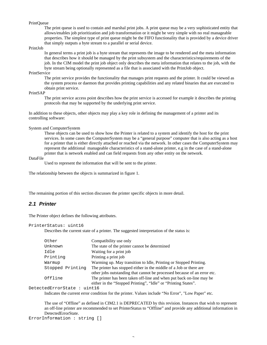#### PrintQueue

The print queue is used to contain and marshal print jobs. A print queue may be a very sophisticated entity that allows/enables job prioritization and job transformation or it might be very simple with no real manageable properties. The simplest type of print queue might be the FIFO functionality that is provided by a device driver that simply outputs a byte stream to a parallel or serial device.

## PrintJob

In general terms a print job is a byte stream that represents the image to be rendered and the meta information that describes how it should be managed by the print subsystem and the characteristics/requirements of the job. In the CIM model the print job object only describes the meta information that relates to the job, with the byte stream being optionally represented as a file that is associated with the PrintJob object.

#### PrintService

The print service provides the functionality that manages print requests and the printer. It could be viewed as the system process or daemon that provides printing capabilities and any related binaries that are executed to obtain print service.

## PrintSAP

The print service access point describes how the print service is accessed for example it describes the printing protocols that may be supported by the underlying print service.

In addition to these objects, other objects may play a key role in defining the management of a printer and its controlling software:

#### System and ComputerSystem

These objects can be used to show how the Printer is related to a system and identify the host for the print services. In some cases the ComputerSystem may be a "general purpose" computer that is also acting as a host for a printer that is either directly attached or reached via the network. In other cases the ComputerSystem may represent the additional manageable characteristics of a stand-alone printer, e.g in the case of a stand-alone printer that is network enabled and can field requests from any other entity on the network.

## DataFile

Used to represent the information that will be sent to the printer.

The relationship between the objects is summarized in figure 1.

The remaining portion of this section discusses the printer specific objects in more detail.

## *2.1 Printer*

The Printer object defines the following attributes.

```
PrinterStatus: uint16
```
Describes the current state of a printer. The suggested interpretation of the status is:

| Other            | Compatibility use only                                                   |  |  |
|------------------|--------------------------------------------------------------------------|--|--|
| Unknown          | The state of the printer cannot be determined                            |  |  |
| Idle             | Waiting for a print job                                                  |  |  |
| Printing         | Printing a print job                                                     |  |  |
| Warmup           | Warming up. May transition to Idle, Printing or Stopped Printing.        |  |  |
| Stopped Printing | The printer has stopped either in the middle of a Job or there are       |  |  |
|                  | other jobs outstanding that cannot be processed because of an error etc. |  |  |
| Offline          | The printer has been taken off-line and when put back on-line may be     |  |  |
|                  | either in the "Stopped Printing", "Idle" or "Printing States".           |  |  |

DetectedErrorState : uint16

Indicates the current error condition for the printer. Values include "No Error", "Low Paper" etc.

The use of "Offline" as defined in CIM2.1 is DEPRECATED by this revision. Instances that wish to represent an off-line printer are recommended to set PrinterStatus to "Offline" and provide any additional information in DetectedErrorState.

ErrorInformation : string []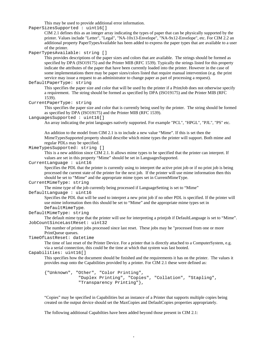This may be used to provide additional error information.

PaperSizesSupported : uint16[]

CIM 2.1 defines this as an integer array indicating the types of paper that can be physically supported by the printer. Values include "Letter", "Legal", "NA-10x13-Envelope", "NA-9x12-Envelope", etc. For CIM 2.2 an additional property PaperTypesAvailable has been added to express the paper types that are available to a user of the printer.

PaperTypesAvailable: string []

This provides descriptions of the paper sizes and colors that are available. The strings should be formed as specified by DPA (ISO19175) and the Printer MIB (RFC 1539). Typically the strings listed for this property indicate the attributes of the paper that have been currently loaded into the printer. However in the case of some implementations there may be paper sizes/colors listed that require manual intervention (e.g. the print service may issue a request to an administrator to change paper as part of processing a request).

#### DefaultPaperType: string

This specifies the paper size and color that will be used by the printer if a PrintJob does not otherwise specify a requirement. The string should be formed as specified by DPA (ISO19175) and the Printer MIB (RFC 1539).

CurrentPaperType: string

This specifies the paper size and color that is currently being used by the printer. The string should be formed as specified by DPA (ISO19175) and the Printer MIB (RFC 1539).

#### LanguagesSupported : uint16[]

An array indicating the print languages natively supported. For example "PCL", "HPGL", "PJL", "PS" etc.

An addition to the model from CIM 2.1 is to include a new value "Mime". If this is set then the MimeTypesSupported property should describe which mime types the printer will support. Both mime and regular PDLs may be specified.

```
MimeTypesSupported: string []
```
This is a new addition since CIM 2.1. It allows mime types to be specified that the printer can interpret. If values are set in this property "Mime" should be set in LanguagesSupported.

## CurrentLanguage : uint16

Specifies the PDL that the printer is currently using to interpret the active print job or if no print job is being processed the current state of the printer for the next job. If the printer will use mime information then this should be set to "Mime" and the appropriate mime types set in CurrentMimeType.

#### CurrentMimeType: string

The mime type of the job currently being processed if LanguageSetting is set to "Mime"

DefaultLanguage : uint16

Specifies the PDL that will be used to interpret a new print job if no other PDL is specified. If the printer will use mime information then this should be set to "Mime" and the appropriate mime types set in DefaultMimeType.

```
DefaultMimeType: string
```
The default mime type that the printer will use for interpreting a printjob if DefaultLanguage is set to "Mime". JobCountSinceLastReset: uint32

The number of printer jobs processed since last reset. These jobs may be "processed from one or more PrintQueue queues.

TimeOfLastReset: datetime

The time of last reset of the Printer Device. For a printer that is directly attached to a ComputerSystem, e.g. via a serial connection, this could be the time at which that system was last booted.

#### Capabilities: uint16[]

This specifies how the document should be finished and the requirements it has on the printer. The values it provides map onto the Capabilities provided by a printer. For CIM 2.1 these were defined as:

```
{"Unknown", "Other", "Color Printing",
            "Duplex Printing", "Copies", "Collation", "Stapling",
            "Transparency Printing"},
```
"Copies" may be specified in Capabilities but an instance of a Printer that supports multiple copies being created on the output device should set the MaxCopies and DefaultCopies properties appropriately.

The following additional Capabilties have been added beyond those present in CIM 2.1: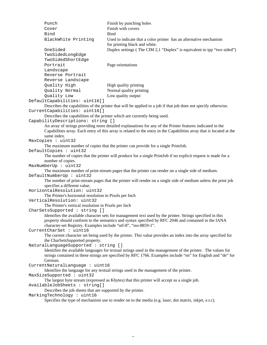| Punch                |                                                             | Finish by punching holes                                                                                                                                                                                                                                                             |
|----------------------|-------------------------------------------------------------|--------------------------------------------------------------------------------------------------------------------------------------------------------------------------------------------------------------------------------------------------------------------------------------|
| Cover                |                                                             | Finish with covers                                                                                                                                                                                                                                                                   |
| Bind                 |                                                             | Bind                                                                                                                                                                                                                                                                                 |
|                      | BlackWhite Printing                                         | Used to indicate that a color printer has an alternative mechanism<br>for printing black and white.                                                                                                                                                                                  |
| OneSided             |                                                             | Duplex settings (The CIM 2,1 "Duplex" is equivalent to ipp "two sided")                                                                                                                                                                                                              |
|                      | TwoSidedLongEdge                                            |                                                                                                                                                                                                                                                                                      |
|                      | TwoSidedShortEdge                                           |                                                                                                                                                                                                                                                                                      |
| Portrait             |                                                             | Page orientations                                                                                                                                                                                                                                                                    |
| Landscape            | Reverse Portrait                                            |                                                                                                                                                                                                                                                                                      |
|                      | Reverse Landscape                                           |                                                                                                                                                                                                                                                                                      |
|                      | Quality High                                                | High quality printing                                                                                                                                                                                                                                                                |
|                      | Quality Normal                                              | Normal quality printing                                                                                                                                                                                                                                                              |
|                      | Quality Low                                                 | Low quality output                                                                                                                                                                                                                                                                   |
|                      | DefaultCapabilities: uint16[]                               |                                                                                                                                                                                                                                                                                      |
|                      |                                                             | Describes the capabilities of the printer that will be applied to a job if that job does not specify otherwise.                                                                                                                                                                      |
|                      | CurrentCapabilities: uint16[]                               | Describes the capabilities of the printer which are currently being used.                                                                                                                                                                                                            |
|                      | CapabilityDescriptions: string []                           |                                                                                                                                                                                                                                                                                      |
|                      |                                                             | An array of strings providing more detailed explanations for any of the Printer features indicated in the                                                                                                                                                                            |
|                      |                                                             | Capabilities array. Each entry of this array is related to the entry in the Capabilities array that is located at the                                                                                                                                                                |
| same index.          |                                                             |                                                                                                                                                                                                                                                                                      |
| MaxCopies : uint32   |                                                             |                                                                                                                                                                                                                                                                                      |
|                      |                                                             | The maximum number of copies that the printer can provide for a single PrintJob.                                                                                                                                                                                                     |
|                      | DefaultCopies : uint32                                      |                                                                                                                                                                                                                                                                                      |
|                      |                                                             | The number of copies that the printer will produce for a single PrintJob if no explicit request is made for a                                                                                                                                                                        |
|                      | number of copies.                                           |                                                                                                                                                                                                                                                                                      |
| MaxNumberUp : uint32 |                                                             |                                                                                                                                                                                                                                                                                      |
|                      | DefaultNumberUp : uint32                                    | The maximum number of print-stream pages that the printer can render on a single side of medium.                                                                                                                                                                                     |
|                      | specifies a different value.                                | The number of print-stream pages that the printer will render on a single side of medium unless the print job                                                                                                                                                                        |
|                      | HorizontalResolution: uint32                                |                                                                                                                                                                                                                                                                                      |
|                      | The Printer's horizontal resolution in Pixels per Inch      |                                                                                                                                                                                                                                                                                      |
|                      | VerticalResolution: uint32                                  |                                                                                                                                                                                                                                                                                      |
|                      | The Printer's vertical resolution in Pixels per Inch        |                                                                                                                                                                                                                                                                                      |
|                      | CharSetsSupported : string []                               |                                                                                                                                                                                                                                                                                      |
|                      |                                                             | Identifies the available character sets for management text used by the printer. Strings specified in this<br>property should conform to the semantics and syntax specified by RFC 2046 and contained in the IANA<br>character-set Registry. Examples include "utf-8", "iso-8859-1". |
|                      | CurrentCharSet : uint16                                     |                                                                                                                                                                                                                                                                                      |
|                      | the CharSetsSupported property.                             | The current character set being used by the printer. This value provides an index into the array specified for                                                                                                                                                                       |
|                      | NaturalLanguageSupported: string []                         |                                                                                                                                                                                                                                                                                      |
|                      |                                                             | Identifies the available languages for textual strings used in the management of the printer. The values for<br>strings contained in these strings are specified by RFC 1766. Examples include "en" for English and "de" for                                                         |
| German.              |                                                             |                                                                                                                                                                                                                                                                                      |
|                      | CurrentNaturalLanguage : uint16                             |                                                                                                                                                                                                                                                                                      |
|                      | MaxSizeSupported: uint32                                    | Identifies the language for any textual strings used in the management of the printer.                                                                                                                                                                                               |
|                      | AvailableJobSheets : string[]                               | The largest byte stream (expressed as Kbytes) that this printer will accept as a single job.                                                                                                                                                                                         |
|                      | Describes the job sheets that are supported by the printer. |                                                                                                                                                                                                                                                                                      |
|                      | MarkingTechnology: uint16                                   |                                                                                                                                                                                                                                                                                      |
|                      |                                                             | Specifies the type of mechanism use to render on to the media (e.g. laser, dot matrix, inkjet, e.t.c).                                                                                                                                                                               |
|                      |                                                             |                                                                                                                                                                                                                                                                                      |

 $\overline{a}$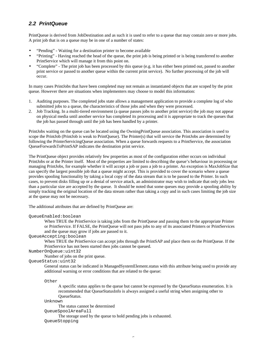## *2.2 PrintQueue*

PrintQueue is derived from JobDestination and as such it is used to refer to a queue that may contain zero or more jobs. A print job that is on a queue may be in one of a number of states:

- "Pending" Waiting for a destination printer to become available
- "Printing" Having reached the head of the queue, the print job is being printed or is being transferred to another PrintService which will manage it from this point on.
- "Complete" The print job has been processed by this queue (e.g. it has either been printed out, passed to another print service or passed to another queue within the current print service). No further processing of the job will occur.

In many cases PrintJobs that have been completed may not remain as instantiated objects that are scoped by the print queue. However there are situations when implementers may choose to model this information:

- 1. Auditing purposes. The completed jobs state allows a management application to provide a complete log of who submitted jobs to a queue, the characteristics of those jobs and when they were processed.
- 2. Job Tracking. In a multi-tiered environment (a queue passes jobs to another print service) the job may not appear on physical media until another service has completed its processing and it is appropriate to track the queues that the job has passed through until the job has been handled by a printer.

PrintJobs waiting on the queue can be located using the OwningPrintQueue association. This association is used to scope the PrintJob (PrintJob is weak to PrintQueue). The Printer(s) that will service the PrintJobs are determined by following the PrinterServicingQueue association. When a queue forwards requests to a PrintService, the association QueueForwardsToPrintSAP indicates the destination print service.

The PrintQueue object provides relatively few properties as most of the configuration either occurs on individual PrintJobs or at the Printer itself. Most of the properties are limited to describing the queue's behaviour in processing or managing PrintJobs, for example whether it will accept a job or pass a job to a printer. An exception is MaxJobSize that can specify the largest possible job that a queue might accept. This is provided to cover the scenario where a queue provides spooling functionality by taking a local copy of the data stream that is to be passed to the Printer. In such cases, to prevent disks filling up or a denial of service attack, an administrator may wish to indicate that only jobs less than a particular size are accepted by the queue. It should be noted that some queues may provide a spooling ability by simply tracking the original location of the data stream rather than taking a copy and in such cases limiting the job size at the queue may not be necessary.

The additional attributes that are defined by PrintQueue are:

## QueueEnabled:boolean

When TRUE the PrintService is taking jobs from the PrintQueue and passing them to the appropriate Printer or PrintService. If FALSE, the PrintQueue will not pass jobs to any of its associated Printers or PrintServices and the queue may grow if jobs are passed to it.

QueueAccepting:boolean

When TRUE the PrintService can accept jobs through the PrintSAP and place them on the PrintQueue. If the PrintService has not been started then jobs cannot be queued.

NumberOnQueue:uint32

Number of jobs on the print queue.

QueueStatus:uint32

General status can be indicated in ManagedSystemElement.status with this attribute being used to provide any additional warning or error conditions that are related to the queue:

Other

A specific status applies to the queue but cannot be expressed by the QueueStatus enumeration. It is recommended that QueueStatusInfo is always assigned a useful string when assigning other to QueueStatus.

Unknown

The status cannot be determined

QueueSpoolAreaFull

The storage used by the queue to hold pending jobs is exhausted. QueueStopping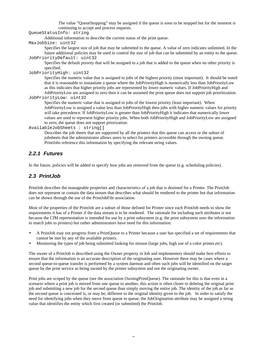The value "QueueStopping" may be assigned if the queue is soon to be stopped but for the moment is continuing to accept and process requests.

QueueStatusInfo: string

Additional information to describe the current status of the print queue.

MaxJobSize: uint32

Specifies the largest size of job that may be submitted to the queue. A value of zero indicates unlimited. In the future additional policies may be used to control the size of job that can be submitted by an entity to the queue. JobPriorityDefault: uint32

Specifies the default priority that will be assigned to a job that is added to the queue when no other priority is specified.

```
JobPriorityHigh: uint32
```
Specifies the numeric value that is assigned to jobs of the highest priority (most important). It should be noted that it is reasonable to instantiate a queue where the JobPriorityHigh is numerically less than JobPriorityLow as this indicates that higher priority jobs are represented by lower numeric values. If JobPriorityHigh and JobPriorityLow are assigned to zero then it can be assumed the print queue does not support job prioritization.

```
JobPriorityLow: uint32
```
Specifies the numeric value that is assigned to jobs of the lowest priority (least important). When JobPriorityLow is assigned a value less than JobPriorityHigh then jobs with higher numeric values for priority will take precedence. If JobPriorityLow is greater than JobPriorityHigh it indicates that numerically lower values are used to represent higher priority jobs. When both JobPriorityHigh and JobPriorityLow are assigned to zero, the queue does not support priorization.

AvailableJobSheets : string[]

Describes the job sheets that are supported by all the printers that this queue can access or the subset of jobsheets that the administrator allows users to select for printers accessible through the owning queue. PrintJobs reference this information by specifying the relevant string values.

## *2.2.1 Futures*

In the future, policies will be added to specify how jobs are removed from the queue (e.g. scheduling policies).

## *2.3 PrintJob*

PrintJob describes the manageable properties and characteristics of a job that is destined for a Printer. The PrintJob does not represent or contain the data stream that describes what should be rendered to the printer but that information can be shown through the use of the PrintJobFile association.

Most of the properties of the PrintJob are a subset of those defined for Printer since each PrintJob needs to show the requirements it has of a Printer if the data stream is to be rendered. The rationale for including such attributes is not because the CIM representation is intended for use by a print subsystem (e.g. the print subsystem uses the information to match jobs to printers) but rather administrators have need for this information:

- A PrintJob may not progress from a PrintQueue to a Printer because a user has specified a set of requirements that cannot be met by any of the available printers.
- Monitoring the types of job being submitted looking for misuse (large jobs, high use of a color printer,etc).

The owner of a PrintJob is described using the Owner property in Job and implementers should make best efforts to ensure that the information is an accurate description of the originating user. However there may be cases where a second queue-to-queue transfer is performed by a system daemon and often such jobs will be identified on the target queue by the print service as being owned by the printer subsystem and not the originating owner.

Print jobs are scoped by the queue (see the association OwningPrintQueue). The rationale for this is that even in a scenario where a print job is moved from one queue to another, this action is often closer to deleting the original print job and submitting a new job for the second queue than simply moving the entire job. The identity of the job as far as the second queue is concerned is, or may be, different to the original identity given to the job. In order to satisfy the need for identifying jobs when they move from queue to queue, the JobOrigination attribute may be assigned a string value that identifies the entity which first created (or submitted) the PrintJob.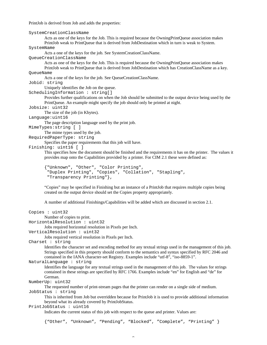PrintJob is derived from Job and adds the properties:

SystemCreationClassName

Acts as one of the keys for the Job. This is required because the OwningPrintQueue association makes PrintJob weak to PrintQueue that is derived from JobDestination which in turn is weak to System.

SystemName

Acts a one of the keys for the job. See SystemCreationClassName.

QueueCreationClassName

Acts as one of the keys for the Job. This is required because the OwningPrintQueue association makes PrintJob weak to PrintQueue that is derived from JobDestination which has CreationClassName as a key.

#### QueueName

Acts a one of the keys for the job. See QueueCreationClassName.

Jobid: string

Uniquely identifies the Job on the queue.

SchedulingInformation : string[]

Provides further qualifications on when the Job should be submitted to the output device being used by the PrintQueue. An example might specify the job should only be printed at night.

Jobsize: uint32

The size of the job (in Kbytes).

```
Language:uint16
```
The page description language used by the print job.

MimeTypes:string [ ]

The mime types used by the job.

RequiredPaperType: string

Specifies the paper requirements that this job will have.

Finishing: uint16 [ ]

This specifies how the document should be finished and the requirements it has on the printer. The values it provides map onto the Capabilities provided by a printer. For CIM 2.1 these were defined as:

```
{"Unknown", "Other", "Color Printing",
"Duplex Printing", "Copies", "Collation", "Stapling",
"Transparency Printing"},
```
"Copies" may be specified in Finishing but an instance of a PrintJob that requires multiple copies being created on the output device should set the Copies property appropriately.

A number of additional Finishings/Capabilities will be added which are discussed in section 2.1.

#### Copies : uint32 Number of copies to print.

HorizontalResolution : uint32

Jobs required horizontal resolution in Pixels per Inch.

```
VerticalResolution : uint32
```
Jobs required vertical resolution in Pixels per Inch.

```
Charset : string
```
Identifies the character set and encoding method for any textual strings used in the management of this job. Strings specified in this property should conform to the semantics and syntax specified by RFC 2046 and contained in the IANA character-set Registry. Examples include "utf-8", "iso-8859-1".

```
NaturalLanguage : string
```
Identifies the language for any textual strings used in the management of this job. The values for strings contained in these strings are specified by RFC 1766. Examples include "en" for English and "de" for German.

```
NumberUp: uint32
```
The requested number of print-stream pages that the printer can render on a single side of medium.

```
JobStatus : string
```
This is inherited from Job but overridden because for PrintJob it is used to provide additional information beyond what its already covered by PrintJobStatus.

## PrintJobStatus : uint16

Indicates the current status of this job with respect to the queue and printer. Values are:

{"Other", "Unknown", "Pending", "Blocked", "Complete", "Printing" }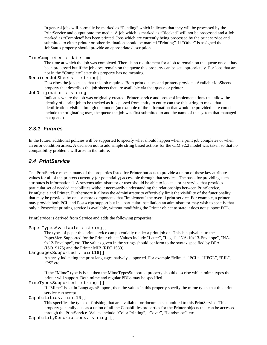In general jobs will normally be marked as "Pending" which indicates that they will be processed by the PrintService and output onto the media. A job which is marked as "Blocked" will not be processed and a Job marked as "Complete" has been printed. Jobs which are currently being processed by the print service and submitted to either printer or other destination should be marked "Printing". If "Other" is assigned the JobStatus property should provide an appropriate description.

```
TimeCompleted : datetime
```
The time at which the job was completed. There is no requirement for a job to remain on the queue once it has been processed but if the job does remain on the queue this property can be set appropriately. For jobs that are not in the "Complete" state this property has no meaning.

```
RequiredJobSheets : string[]
```
Describes the job sheets that this job requires. Both print queues and printers provide a AvailableJobSheets property that describes the job sheets that are available via that queue or printer.

JobOriginator : string

Indicates where the job was originally created. Printer service and protocol implementations that allow the identity of a print job to be tracked as it is passed from entity to entity can use this string to make that identification visible through the model (an example of the information that would be provided here could include the originating user, the queue the job was first submitted to and the name of the system that managed that queue).

## *2.3.1 Futures*

In the future, additional policies will be supported to specify what should happen when a print job completes or when an error condition arises. A decision not to add simple string based actions for the CIM v2.2 model was taken so that no compatibility problems will arise in the future.

## *2.4 PrintService*

The PrintService repeats many of the properties listed for Printer but acts to provide a union of these key attribute values for all of the printers currently (or potentially) accessible through that service. The basis for providing such attributes is informational. A systems administrator or user should be able to locate a print service that provides particular set of needed capabilities without necessarily understanding the relationships between PrintService, PrintQueue and Printer. Furthermore it allows the administrator to effectively limit the visibility of the functionality that may be provided by one or more components that "implement" the overall print service. For example, a printer may provide both PCL and Postscript support but in a particular installation an administrator may wish to specify that only a Postscript printing service is available, without modifying the Printer object to state it does not support PCL.

PrintService is derived from Service and adds the following properties:

```
PaperTypesAvailable : string[]
```
The types of paper this print service can potentially render a print job on. This is equivalent to the PaperSizesSupported for the Printer object Values include "Letter", "Legal", "NA-10x13-Envelope", "NA-9x12-Envelope", etc. The values given in the strings should conform to the syntax specified by DPA (ISO19175) and the Printer MIB (RFC 1539).

```
LanguagesSupported : uint16[]
```
An array indicating the print languages natively supported. For example "Mime", "PCL", "HPGL", "PJL", "PS" etc.

If the "Mime" type is is set then the MimeTypesSupported property should describe which mime types the printer will support. Both mime and regular PDLs may be specified.

MimeTypesSupported: string []

If "Mime" is set in LanguagesSupport, then the values in this property specify the mime types that this print service can accept.

Capabilities: uint16[]

This specifies the types of finishing that are available for documents submitted to this PrintService. This property generally acts as a union of all the Capabilities properties for the Printer objects that can be accessed through the PrintService. Values include "Color Printing", "Cover", "Landscape", etc.

CapabilityDescriptions: string []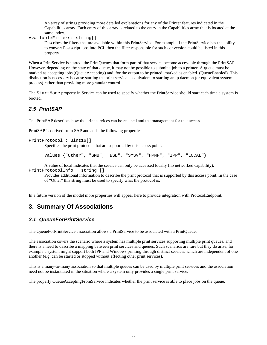An array of strings providing more detailed explanations for any of the Printer features indicated in the Capabilities array. Each entry of this array is related to the entry in the Capabilities array that is located at the same index.

AvailableFilters: string[]

Describes the filters that are available within this PrintService. For example if the PrintService has the ability to convert Postscript jobs into PCL then the filter responsible for such conversion could be listed in this property.

When a PrintService is started, the PrintQueues that form part of that service become accessible through the PrintSAP. However, depending on the state of that queue, it may not be possible to submit a job to a printer. A queue must be marked as accepting jobs (QueueAccepting) and, for the output to be printed, marked as enabled (QueueEnabled). This distinction is necessary because starting the print service is equivalent to starting an lp daemon (or equivalent system process) rather than providing more granular control.

The StartMode property in Service can be used to specify whether the PrintService should start each time a system is booted.

## *2.5 PrintSAP*

The PrintSAP describes how the print services can be reached and the management for that access.

PrintSAP is derived from SAP and adds the following properties:

```
PrintProtocol : uint16[]
```
Specifies the print protocols that are supported by this access point.

Values {"Other", "SMB", "BSD", "SYSV", "HPNP", "IPP", "LOCAL"}

A value of local indicates that the service can only be accessed locally (no networked capability).

PrintProtocolInfo : string []

Provides additional information to describe the print protocol that is supported by this access point. In the case of "Other" this string must be used to specify what the protocol is.

In a future version of the model more properties will appear here to provide integration with ProtocolEndpoint.

# **3. Summary Of Associations**

## *3.1 QueueForPrintService*

The QueueForPrintService association allows a PrintService to be associated with a PrintQueue.

The association covers the scenario where a system has multiple print services supporting multiple print queues, and there is a need to describe a mapping between print services and queues. Such scenarios are rare but they do arise, for example a system might support both IPP and Windows printing through distinct services which are independent of one another (e.g. can be started or stopped without effecting other print services).

This is a many-to-many association so that multiple queues can be used by multiple print services and the association need not be instantiated in the situation where a system only provides a single print service.

The property QueueAcceptingFromService indicates whether the print service is able to place jobs on the queue.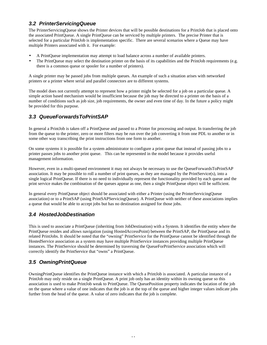## *3.2 PrinterServicingQueue*

The PrinterServicingQueue shows the Printer devices that will be possible destinations for a PrintJob that is placed onto the associated PrintQueue. A single PrintQueue can be serviced by multiple printers. The precise Printer that is selected for a particular PrintJob is implementation specific. There are several scenarios where a Queue may have multiple Printers associated with it. For example:

- A PrintQueue implementation may attempt to load balance across a number of available printers.
- The PrintQueue may select the destination printer on the basis of its capabilities and the PrintJob requirements (e.g. there is a common queue or spooler for a number of printers).

A single printer may be passed jobs from multiple queues. An example of such a situation arises with networked printers or a printer where serial and parallel connectors are to different systems.

The model does not currently attempt to represent how a printer might be selected for a job on a particular queue. A simple action based mechanism would be insufficient because the job may be directed to a printer on the basis of a number of conditions such as job size, job requirements, the owner and even time of day. In the future a policy might be provided for this purpose.

## *3.3 QueueForwardsToPrintSAP*

In general a PrintJob is taken off a PrintQueue and passed to a Printer for processing and output. In transferring the job from the queue to the printer, zero or more filters may be run over the job converting it from one PDL to another or in some other way transcribing the print instructions from one form to another.

On some systems it is possible for a system administrator to configure a print queue that instead of passing jobs to a printer passes jobs to another print queue. This can be represented in the model because it provides useful management information.

However, even in a multi-queued environment it may not always be necessary to use the QueueForwardsToPrintSAP association. It may be possible to roll a number of print queues, as they are managed by the PrintService $(s)$ , into a single logical PrintQueue. If there is no need to individually represent the functionality provided by each queue and the print service makes the combination of the queues appear as one, then a single PrintQueue object will be sufficient.

In general every PrintQueue object should be associated with either a Printer (using the PrinterServicingQueue association) or to a PrintSAP (using PrintSAPServicingQueue). A PrintQueue with neither of these associations implies a queue that would be able to accept jobs but has no destination assigned for those jobs.

# *3.4 HostedJobDestination*

This is used to associate a PrintQueue (inheriting from JobDestination) with a System. It identifies the entity where the PrintQueue resides and allows navigation (using HostedAccessPoint) between the PrintSAP, the PrintQueue and its related PrintJobs. It should be noted that the "owning" PrintService for the PrintQueue cannot be identified through the HostedService association as a system may have multiple PrintService instances providing multiple PrintQueue instances. The PrintService should be determined by traversing the QueueForPrintService association which will correctly identify the PrintService that "owns" a PrintQueue.

# *3.5 OwningPrintQueue*

OwningPrintQueue identifies the PrintQueue instance with which a PrintJob is associated. A particular instance of a PrintJob may only reside on a single PrintQueue. A print job only has an identity within its owning queue so this association is used to make PrintJob weak to PrintQueue. The QueuePosition property indicates the location of the job on the queue where a value of one indicates that the job is at the top of the queue and higher integer values indicate jobs further from the head of the queue. A value of zero indicates that the job is complete.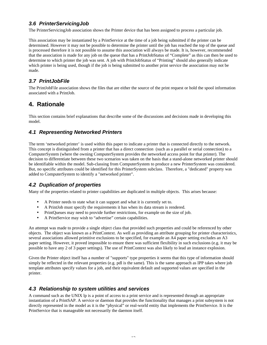## *3.6 PrinterServicingJob*

The PrinterServicingJob association shows the Printer device that has been assigned to process a particular job.

This association may be instantiated by a PrintService at the time of a job being submitted if the printer can be determined. However it may not be possible to determine the printer until the job has reached the top of the queue and is processed therefore it is not possible to assume this association will always be made. It is, however, recommended that the association is made for any job on the queue that has a PrintJobStatus of "Complete" as this can then be used to determine to which printer the job was sent. A job with PrintJobStatus of "Printing" should also generally indicate which printer is being used, though if the job is being submitted to another print service the association may not be made.

## *3.7 PrintJobFile*

The PrintJobFile association shows the files that are either the source of the print request or hold the spool information associated with a PrintJob.

# **4. Rationale**

This section contains brief explanations that describe some of the discussions and decisions made in developing this model.

## *4.1 Representing Networked Printers*

The term 'networked printer' is used within this paper to indicate a printer that is connected directly to the network. This concept is distinguished from a printer that has a direct connection (such as a parallel or serial connection) to a ComputerSystem (where the owning ComputerSystem provides the networked access point for that printer). The decision to differentiate between these two scenarios was taken on the basis that a stand-alone networked printer should be identifiable within the model. Sub-classing from ComputerSystem to produce a new PrinterSystem was considered. But, no specific attributes could be identified for this PrinterSystem subclass. Therefore, a "dedicated" property was added to ComputerSystem to identify a "networked printer".

## *4.2 Duplication of properties*

Many of the properties related to printer capabilities are duplicated in multiple objects. This arises because:

- A Printer needs to state what it can support and what it is currently set to.
- A PrintJob must specify the requirements it has when its data stream is rendered.
- PrintQueues may need to provide further restrictions, for example on the size of job.
- A PrintService may wish to "advertise" certain capabilities.

An attempt was made to provide a single object class that provided such properties and could be referenced by other objects. The object was known as a PrintContext. As well as providing an attribute grouping for printer characteristics, several associations allowed primitive exclusions to be specified, for example an A4 paper setting excludes an A3 paper setting. However, it proved impossible to ensure there was sufficient flexibility in such exclusions (e.g. it may be possible to have any 2 of 3 paper settings). The use of PrintContext was also likely to lead an instance explosion.

Given the Printer object itself has a number of "supports" type properties it seems that this type of information should simply be reflected in the relevant properties (e.g. pdl is the same). This is the same approach as IPP takes where job template attributes specify values for a job, and their equivalent default and supported values are specified in the printer.

## *4.3 Relationship to system utilities and services*

A command such as the UNIX lp is a point of access to a print service and is represented through an appropriate instantiation of a PrintSAP. A service or daemon that provides the functionality that manages a print subsystem is not directly represented in the model as it is the "physical" or real-world entity that implements the PrintService. It is the PrintService that is manageable not necessarily the daemon itself.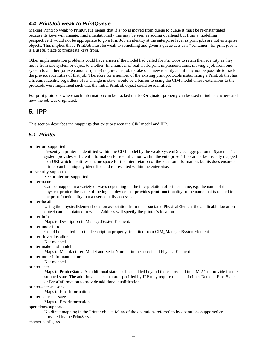## *4.4 PrintJob weak to PrintQueue*

Making PrintJob weak to PrintQueue means that if a job is moved from queue to queue it must be re-instantiated because its keys will change. Implementationally this may be seen as adding overhead but from a modelling perspective it would not be appropriate to give PrintJob an identity at the enterprise level as print jobs are not enterprise objects. This implies that a PrintJob must be weak to something and given a queue acts as a "container" for print jobs it is a useful place to propagate keys from.

Other implementation problems could have arisen if the model had called for PrintJobs to retain their identity as they move from one system or object to another. In a number of real world print implementations, moving a job from one system to another (or even another queue) requires the job to take on a new identity and it may not be possible to track the previous identities of that job. Therefore for a number of the existing print protocols instantiating a PrintJob that has a lifetime identity regardless of its change in state, would be a barrier to using the CIM model unless extensions to the protocols were implement such that the initial PrintJob object could be identified.

For print protocols where such information can be tracked the JobOriginator property can be used to indicate where and how the job was originated.

## **5. IPP**

This section describes the mappings that exist between the CIM model and IPP.

## *5.1 Printer*

#### printer-uri-supported

Presently a printer is identified within the CIM model by the weak SystemDevice aggregation to System. The system provides sufficient information for identification within the enterprise. This cannot be trivially mapped to a URI which identifies a name space for the interpretation of the location information, but its does ensure a printer can be uniquely identified and represented within the enterprise.

uri-security-supported

#### See printer-uri-supported

printer-name

Can be mapped in a variety of ways depending on the interpretation of printer-name, e.g. the name of the physical printer, the name of the logical device that provides print functionality or the name that is related to the print functionality that a user actually accesses.

#### printer-location

Using the PhysicalElementLocation association from the associated PhysicalElement the applicable Location object can be obtained in which Address will specify the printer's location.

printer-info

Maps to Description in ManagedSystemElement.

printer-more-info

Could be inserted into the Description property, inherited from CIM\_ManagedSystemElement.

printer-driver-installer

Not mapped.

printer-make-and-model

Maps to Manufacturer, Model and SerialNumber in the associated PhysicalElement.

printer-more-info-manufacturer

#### Not mapped.

printer-state

Maps to PrinterStatus. An additional state has been added beyond those provided in CIM 2.1 to provide for the stopped state. The additional states that are specified by IPP may require the use of either DetectedErrorState or ErrorInformation to provide additional qualification.

## printer-state-reasons

Maps to ErrorInformation.

printer-state-message

Maps to ErrorInformation.

operations-supported

No direct mapping in the Printer object. Many of the operations referred to by operations-supported are provided by the PrintService.

charset-configured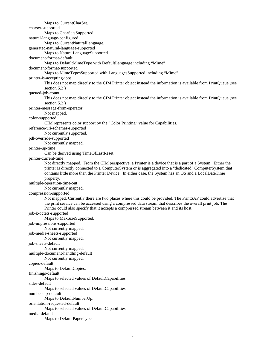Maps to CurrentCharSet. charset-supported Maps to CharSetsSupported. natural-language-configured Maps to CurrentNaturalLanguage. generated-natural-language-supported Maps to NaturalLanguageSupported. document-format-default Maps to DefaultMimeType with DefaultLanguage including "Mime" document-format-supported Maps to MimeTypesSupported with LanguagesSupported including "Mime" printer-is-accepting-jobs This does not map directly to the CIM Printer object instead the information is available from PrintQueue (see section 5.2 ) queued-job-count This does not map directly to the CIM Printer object instead the information is available from PrintQueue (see section 5.2 ) printer-message-from-operator Not mapped. color-supported CIM represents color support by the "Color Printing" value for Capabilities. reference-uri-schemes-supported Not currently supported. pdl-override-supported Not currently mapped. printer-up-time Can be derived using TimeOfLastReset. printer-current-time Not directly mapped. From the CIM perspective, a Printer is a device that is a part of a System. Either the printer is directly connected to a ComputerSystem or is aggregated into a "dedicated" ComputerSystem that contains little more than the Printer Device. In either case, the System has an OS and a LocalDateTime property. multiple-operation-time-out Not currently mapped. compression-supported Not mapped. Currently there are two places where this could be provided. The PrintSAP could advertise that the print service can be accessed using a compressed data stream that describes the overall print job. The Printer could also specify that it accepts a compressed stream between it and its host. job-k-octets-supported Maps to MaxSizeSupported. job-impressions-supported Not currently mapped. job-media-sheets-supported Not currently mapped. job-sheets-default Not currently mapped. multiple-document-handling-default Not currently mapped. copies-default Maps to DefaultCopies. finishings-default Maps to selected values of DefaultCapabilities. sides-default Maps to selected values of DefaultCapabilities. number-up-default Maps to DefaultNumberUp. orientation-requested-default Maps to selected values of DefaultCapabilities. media-default Maps to DefaultPaperType.

14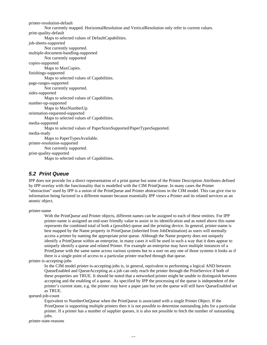printer-resolution-default Not currently mapped. HorizontalResolution and VerticalResolution only refer to current values. print-quality-default Maps to selected values of DefaultCapabilities. job-sheets-supported Not currently supported. multiple-document-handling-supported Not currently supported copies-supported Maps to MaxCopies. finishings-supported Maps to selected values of Capabilities. page-ranges-supported Not currently supported. sides-supported Maps to selected values of Capabilities. number-up-supported Maps to MaxNumberUp. orientation-requested-supported Maps to selected values of Capabilities. media-supported Maps to selected values of PaperSizesSupported/PaperTypesSupported. media-ready Maps to PaperTypesAvailable. printer-resolution-supported Not currently supported. print-quality-supported Maps to selected values of Capabilities.

## *5.2 Print Queue*

IPP does not provide for a direct representation of a print queue but some of the Printer Description Attributes defined by IPP overlay with the functionality that is modelled with the CIM PrintQueue. In many cases the Printer "abstraction" used by IPP is a union of the PrintQueue and Printer abstractions in the CIM model. This can give rise to information being factored in a different manner because essentially IPP views a Printer and its related services as an atomic object.

printer-name

With the PrintQueue and Printer objects, different names can be assigned to each of these entities. For IPP printer-name is assigned an end-user friendly value to assist in its identification and as noted above this name represents the combined total of both a (possible) queue and the printing device. In general, printer-name is best mapped by the Name property in PrintQueue (inherited from JobDestination) as users will normally access a printer by naming the appropriate print queue. Although the Name property does not uniquely identify a PrintQueue within an enterprise, in many cases it will be used in such a way that it does appear to uniquely identify a queue and related Printer. For example an enterprise may have multiple instances of a PrintQueue with the same name across various systems but to a user on any one of those systems it looks as if there is a single point of access to a particular printer reached through that queue.

printer-is-accepting-jobs

In the CIM model printer-is-accepting-jobs is, in general, equivalent to performing a logical AND between QueueEnabled and QueueAccepting as a job can only reach the printer through the PrintService if both of these properties are TRUE. It should be noted that a networked printer might be unable to distinguish between accepting and the enabling of a queue. As specified by IPP the processing of the queue is independent of the printer's current state, e.g. the printer may have a paper jam but yet the queue will still have QueueEnabled set as TRUE.

queued-job-count

Equivalent to NumberOnQueue when the PrintQueue is associated with a single Printer Object. If the PrintQueue is supporting multiple printers then it is not possible to determine outstanding jobs for a particular printer. If a printer has a number of supplier queues, it is also not possible to fetch the number of outstanding jobs.

printer-state-reasons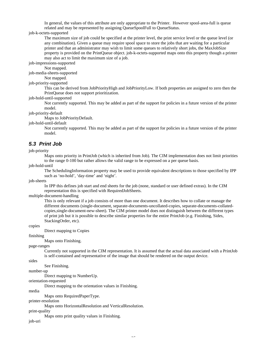In general, the values of this attribute are only appropriate to the Printer. However spool-area-full is queue related and may be represented by assigning QueueSpoolFull to QueueStatus.

#### job-k-octets-supported

The maximum size of job could be specified at the printer level, the print service level or the queue level (or any combination). Given a queue may require spool space to store the jobs that are waiting for a particular printer and that an administrator may wish to limit some queues to relatively short jobs, the MaxJobSize property is provided on the PrintQueue object. job-k-octets-supported maps onto this property though a printer may also act to limit the maximum size of a job.

job-impressions-supported

Not mapped.

job-media-sheets-supported

Not mapped.

## job-priority-supported

This can be derived from JobPriorityHigh and JobPriorityLow. If both properties are assigned to zero then the PrintQueue does not support prioritization.

job-hold-until-supported

Not currently supported. This may be added as part of the support for policies in a future version of the printer model.

job-priority-default

Maps to JobPriorityDefault.

job-hold-until-default

Not currently supported. This may be added as part of the support for policies in a future version of the printer model.

## *5.3 Print Job*

#### job-priority

Maps onto priority in PrintJob (which is inherited from Job). The CIM implementation does not limit priorities to the range 0-100 but rather allows the valid range to be expressed on a per queue basis.

job-hold-until

The SchedulingInformation property may be used to provide equivalent descriptions to those specified by IPP such as 'no-hold', 'day-time' and 'night'.

job-sheets

In IPP this defines job start and end sheets for the job (none, standard or user defined extras). In the CIM representation this is specified with RequiredJobSheets.

multiple-document-handling

This is only relevant if a job consists of more than one document. It describes how to collate or manage the different documents (single-document, separate-documents-uncollated-copies, separate-documents-collatedcopies,single-document-new-sheet). The CIM printer model does not distinguish between the different types of print job but it is possible to describe similar properties for the entire PrintJob (e.g. Finishing, Sides, StackingOrder, etc).

copies

Direct mapping to Copies

finishing

Maps onto Finishing.

page-ranges

Currently not supported in the CIM representation. It is assumed that the actual data associated with a PrintJob is self-contained and representative of the image that should be rendered on the output device.

sides

See Finishing.

number-up

Direct mapping to NumberUp.

orientation-requested

Direct mapping to the orientation values in Finishing.

media

Maps onto RequiredPaperType.

printer-resolution

Maps onto HorizontalResolution and VerticalResolution.

print-quality

Maps onto print quality values in Finishing.

job-uri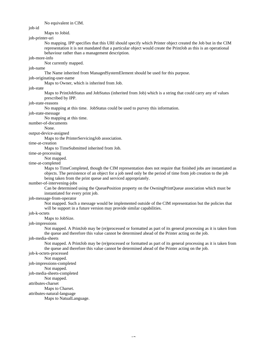No equivalent in CIM.

job-id

## Maps to Jobid.

job-printer-uri

No mapping. IPP specifies that this URI should specify which Printer object created the Job but in the CIM representation it is not mandated that a particular object would create the PrintJob as this is an operational behaviour rather than a management description.

job-more-info

Not currently mapped.

## job-name

The Name inherited from ManagedSystemElement should be used for this purpose.

## job-originating-user-name

Maps to Owner, which is inherited from Job.

#### job-state

Maps to PrintJobStatus and JobStatus (inherited from Job) which is a string that could carry any of values prescribed by IPP.

## job-state-reasons

No mapping at this time. JobStatus could be used to purvey this information.

#### job-state-message

No mapping at this time.

#### number-of-documents

None.

#### output-device-assigned

Maps to the PrinterServicingJob association.

## time-at-creation

Maps to TimeSubmitted inherited from Job.

## time-at-processing

Not mapped.

## time-at-completed

Maps to TimeCompleted, though the CIM representation does not require that finished jobs are instantiated as objects. The persistence of an object for a job need only be the period of time from job creation to the job being taken from the print queue and serviced appropriately.

#### number-of-intervening-jobs

Can be determined using the QueuePosition property on the OwningPrintQueue association which must be instantiated for every print job.

## job-message-from-operator

Not mapped. Such a message would be implemented outside of the CIM representation but the policies that will be support in a future version may provide similar capabilities.

## job-k-octets

Maps to JobSize.

## job-impressions

Not mapped. A PrintJob may be (re)processed or formatted as part of its general processing as it is taken from the queue and therefore this value cannot be determined ahead of the Printer acting on the job.

## job-media-sheets

Not mapped. A PrintJob may be (re)processed or formatted as part of its general processing as it is taken from the queue and therefore this value cannot be determined ahead of the Printer acting on the job.

## job-k-octets-processed

Not mapped.

## job-impressions-completed

Not mapped.

#### job-media-sheets-completed

Not mapped.

## attributes-charset

Maps to Charset.

attributes-natural-language

Maps to NatualLanguage.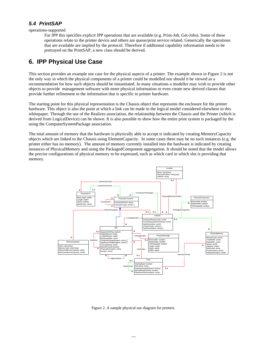## *5.4 PrintSAP*

operations-supported

For IPP this specifies explicit IPP operations that are available (e.g. Print-Job, Get-Jobs). Some of these operations relate to the printer device and others are queue/print service related. Generically the operations that are available are implied by the protocol. Therefore if additional capability information needs to be portrayed on the PrintSAP, a new class should be derived.

# **6. IPP Physical Use Case**

This section provides an example use case for the physical aspects of a printer. The example shown in Figure 2 is not the only way in which the physical components of a printer could be modelled nor should it be viewed as a recommendation for how such objects should be instantiated. In many situations a modeller may wish to provide other objects to provide management software with more physical information or even create new derived classes that provide further refinement to the information that is specific to printer hardware.

The starting point for this physical representation is the Chassis object that represents the enclosure for the printer hardware. This object is also the point at which a link can be made to the logical model considered elsewhere in this whitepaper. Through the use of the Realizes association, the relationship between the Chassis and the Printer (which is derived from LogicalDevice) can be shown. It is also possible to show how the entire print system is packaged by the using the ComputerSystemPackage association.

The total amount of memory that the hardware is physically able to accept is indicated by creating MemoryCapacity objects which are linked to the Chassis using ElementCapacity. In some cases there may be no such instances (e.g. the printer either has no memory). The amount of memory currently installed into the hardware is indicated by creating instances of PhysicalMemory and using the PackagedComponent aggregation. It should be noted that the model allows the precise configurations of physical memory to be expressed, such as which card in which slot is providing that memory.



Figure 2. A sample physical use diagram for printers.